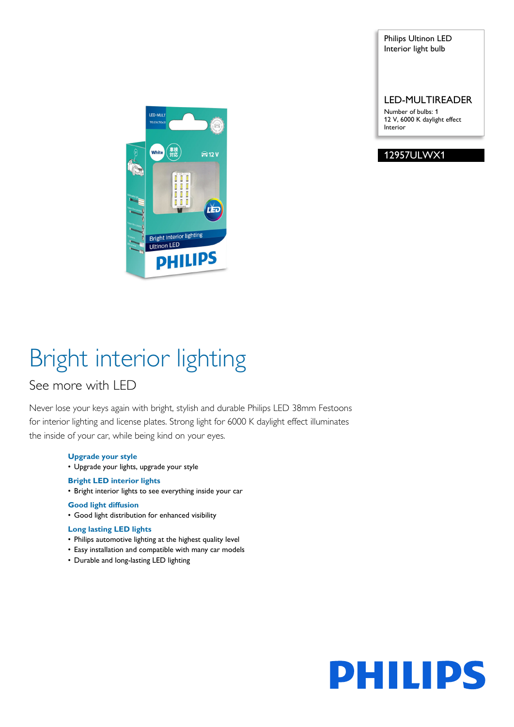Philips Ultinon LED Interior light bulb

LED-MULTIREADER

Number of bulbs: 1 12 V, 6000 K daylight effect Interior

12957ULWX1



# Bright interior lighting

### See more with LED

Never lose your keys again with bright, stylish and durable Philips LED 38mm Festoons for interior lighting and license plates. Strong light for 6000 K daylight effect illuminates the inside of your car, while being kind on your eyes.

#### **Upgrade your style**

• Upgrade your lights, upgrade your style

#### **Bright LED interior lights**

• Bright interior lights to see everything inside your car

#### **Good light diffusion**

• Good light distribution for enhanced visibility

#### **Long lasting LED lights**

- Philips automotive lighting at the highest quality level
- Easy installation and compatible with many car models
- Durable and long-lasting LED lighting